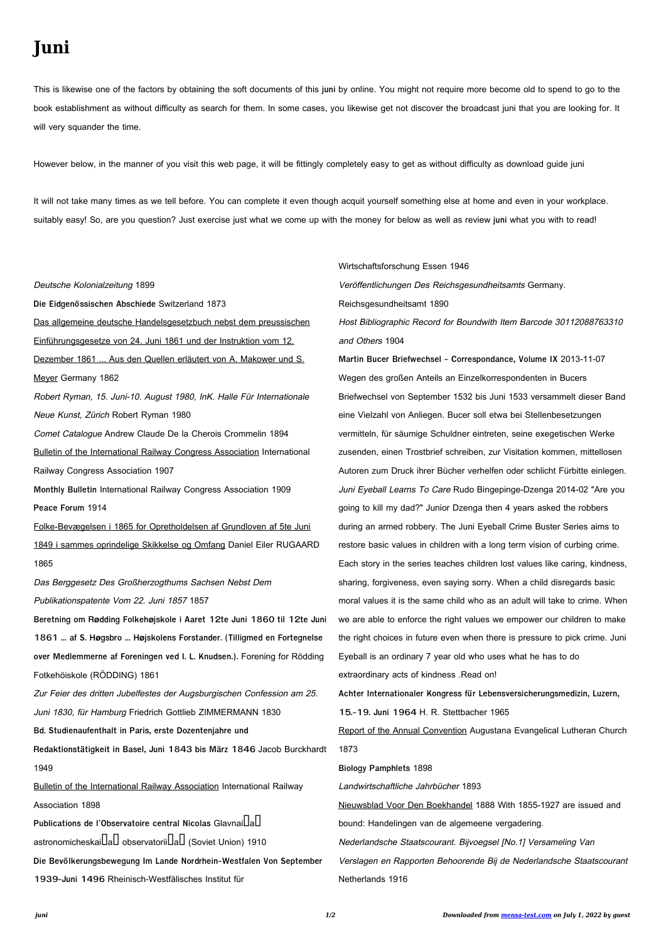## **Juni**

This is likewise one of the factors by obtaining the soft documents of this **juni** by online. You might not require more become old to spend to go to the book establishment as without difficulty as search for them. In some cases, you likewise get not discover the broadcast juni that you are looking for. It will very squander the time.

However below, in the manner of you visit this web page, it will be fittingly completely easy to get as without difficulty as download guide juni

It will not take many times as we tell before. You can complete it even though acquit yourself something else at home and even in your workplace. suitably easy! So, are you question? Just exercise just what we come up with the money for below as well as review **juni** what you with to read!

Deutsche Kolonialzeitung 1899 **Die Eidgenössischen Abschiede** Switzerland 1873 Das allgemeine deutsche Handelsgesetzbuch nebst dem preussischen Einführungsgesetze von 24. Juni 1861 und der Instruktion vom 12. Dezember 1861 ... Aus den Quellen erläutert von A. Makower und S. Meyer Germany 1862 Robert Ryman, 15. Juni-10. August 1980, InK. Halle Für Internationale Neue Kunst, Zürich Robert Ryman 1980 Comet Catalogue Andrew Claude De la Cherois Crommelin 1894 Bulletin of the International Railway Congress Association International Railway Congress Association 1907 **Monthly Bulletin** International Railway Congress Association 1909 **Peace Forum** 1914 Folke-Bevægelsen i 1865 for Opretholdelsen af Grundloven af 5te Juni 1849 i sammes oprindelige Skikkelse og Omfang Daniel Eiler RUGAARD 1865 Das Berggesetz Des Großherzogthums Sachsen Nebst Dem Publikationspatente Vom 22. Juni 1857 1857 **Beretning om Rødding Folkehøjskole i Aaret 12te Juni 1860 til 12te Juni 1861 ... af S. Høgsbro ... Højskolens Forstander. (Tilligmed en Fortegnelse over Medlemmerne af Foreningen ved I. L. Knudsen.).** Forening for Rödding Fotkehöiskole (RÖDDING) 1861 Zur Feier des dritten Jubelfestes der Augsburgischen Confession am 25.

Juni 1830, für Hamburg Friedrich Gottlieb ZIMMERMANN 1830

**Bd. Studienaufenthalt in Paris, erste Dozentenjahre und**

**Redaktionstätigkeit in Basel, Juni 1843 bis März 1846** Jacob Burckhardt

1949

Bulletin of the International Railway Association International Railway

Association 1898

Publications de l'Observatoire central Nicolas Glavnai**LaL** astronomicheskai $\Box$ a $\Box$  observatorii $\Box$ a $\Box$  (Soviet Union) 1910

**Die Bevölkerungsbewegung Im Lande Nordrhein-Westfalen Von September**

**1939-Juni 1496** Rheinisch-Westfälisches Institut für

Wirtschaftsforschung Essen 1946 Veröffentlichungen Des Reichsgesundheitsamts Germany. Reichsgesundheitsamt 1890 Host Bibliographic Record for Boundwith Item Barcode 30112088763310 and Others 1904

**Martin Bucer Briefwechsel - Correspondance, Volume IX** 2013-11-07 Wegen des großen Anteils an Einzelkorrespondenten in Bucers Briefwechsel von September 1532 bis Juni 1533 versammelt dieser Band eine Vielzahl von Anliegen. Bucer soll etwa bei Stellenbesetzungen vermitteln, für säumige Schuldner eintreten, seine exegetischen Werke zusenden, einen Trostbrief schreiben, zur Visitation kommen, mittellosen Autoren zum Druck ihrer Bücher verhelfen oder schlicht Fürbitte einlegen. Juni Eyeball Learns To Care Rudo Bingepinge-Dzenga 2014-02 "Are you going to kill my dad?" Junior Dzenga then 4 years asked the robbers during an armed robbery. The Juni Eyeball Crime Buster Series aims to restore basic values in children with a long term vision of curbing crime. Each story in the series teaches children lost values like caring, kindness, sharing, forgiveness, even saying sorry. When a child disregards basic moral values it is the same child who as an adult will take to crime. When we are able to enforce the right values we empower our children to make the right choices in future even when there is pressure to pick crime. Juni Eyeball is an ordinary 7 year old who uses what he has to do extraordinary acts of kindness .Read on!

**Achter Internationaler Kongress für Lebensversicherungsmedizin, Luzern,**

**15.-19. Juni 1964** H. R. Stettbacher 1965

Report of the Annual Convention Augustana Evangelical Lutheran Church 1873

**Biology Pamphlets** 1898

Landwirtschaftliche Jahrbücher 1893

Nieuwsblad Voor Den Boekhandel 1888 With 1855-1927 are issued and

bound: Handelingen van de algemeene vergadering.

Nederlandsche Staatscourant. Bijvoegsel [No.1] Versameling Van

Verslagen en Rapporten Behoorende Bij de Nederlandsche Staatscourant Netherlands 1916